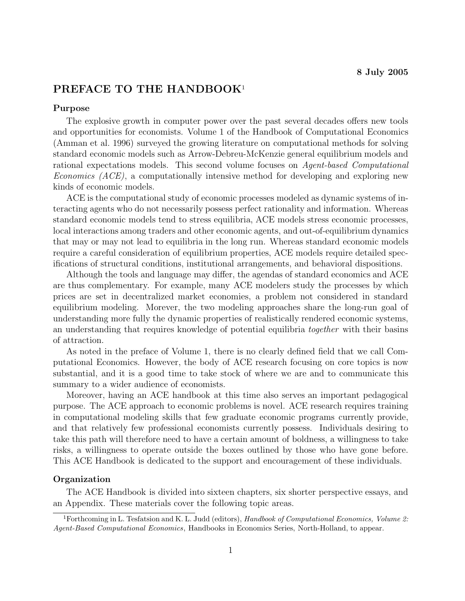# **PREFACE TO THE HANDBOOK**<sup>1</sup>

### **Purpose**

The explosive growth in computer power over the past several decades offers new tools and opportunities for economists. Volume 1 of the Handbook of Computational Economics (Amman et al. 1996) surveyed the growing literature on computational methods for solving standard economic models such as Arrow-Debreu-McKenzie general equilibrium models and rational expectations models. This second volume focuses on *Agent-based Computational Economics (ACE)*, a computationally intensive method for developing and exploring new kinds of economic models.

ACE is the computational study of economic processes modeled as dynamic systems of interacting agents who do not necessarily possess perfect rationality and information. Whereas standard economic models tend to stress equilibria, ACE models stress economic processes, local interactions among traders and other economic agents, and out-of-equilibrium dynamics that may or may not lead to equilibria in the long run. Whereas standard economic models require a careful consideration of equilibrium properties, ACE models require detailed specifications of structural conditions, institutional arrangements, and behavioral dispositions.

Although the tools and language may differ, the agendas of standard economics and ACE are thus complementary. For example, many ACE modelers study the processes by which prices are set in decentralized market economies, a problem not considered in standard equilibrium modeling. Morever, the two modeling approaches share the long-run goal of understanding more fully the dynamic properties of realistically rendered economic systems, an understanding that requires knowledge of potential equilibria *together* with their basins of attraction.

As noted in the preface of Volume 1, there is no clearly defined field that we call Computational Economics. However, the body of ACE research focusing on core topics is now substantial, and it is a good time to take stock of where we are and to communicate this summary to a wider audience of economists.

Moreover, having an ACE handbook at this time also serves an important pedagogical purpose. The ACE approach to economic problems is novel. ACE research requires training in computational modeling skills that few graduate economic programs currently provide, and that relatively few professional economists currently possess. Individuals desiring to take this path will therefore need to have a certain amount of boldness, a willingness to take risks, a willingness to operate outside the boxes outlined by those who have gone before. This ACE Handbook is dedicated to the support and encouragement of these individuals.

### **Organization**

The ACE Handbook is divided into sixteen chapters, six shorter perspective essays, and an Appendix. These materials cover the following topic areas.

<sup>1</sup>Forthcoming in L. Tesfatsion and K. L. Judd (editors), *Handbook of Computational Economics, Volume 2: Agent-Based Computational Economics*, Handbooks in Economics Series, North-Holland, to appear.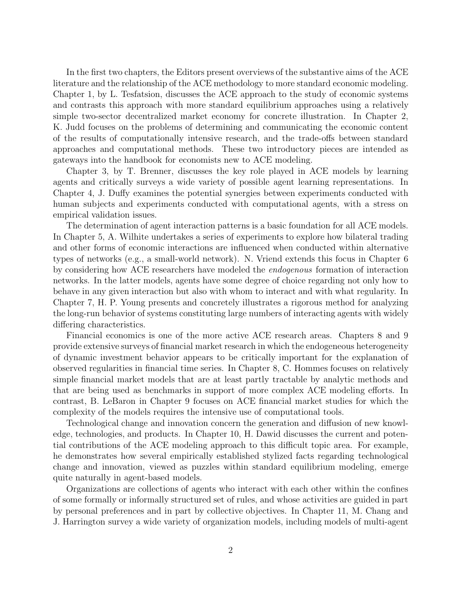In the first two chapters, the Editors present overviews of the substantive aims of the ACE literature and the relationship of the ACE methodology to more standard economic modeling. Chapter 1, by L. Tesfatsion, discusses the ACE approach to the study of economic systems and contrasts this approach with more standard equilibrium approaches using a relatively simple two-sector decentralized market economy for concrete illustration. In Chapter 2, K. Judd focuses on the problems of determining and communicating the economic content of the results of computationally intensive research, and the trade-offs between standard approaches and computational methods. These two introductory pieces are intended as gateways into the handbook for economists new to ACE modeling.

Chapter 3, by T. Brenner, discusses the key role played in ACE models by learning agents and critically surveys a wide variety of possible agent learning representations. In Chapter 4, J. Duffy examines the potential synergies between experiments conducted with human subjects and experiments conducted with computational agents, with a stress on empirical validation issues.

The determination of agent interaction patterns is a basic foundation for all ACE models. In Chapter 5, A. Wilhite undertakes a series of experiments to explore how bilateral trading and other forms of economic interactions are influenced when conducted within alternative types of networks (e.g., a small-world network). N. Vriend extends this focus in Chapter 6 by considering how ACE researchers have modeled the *endogenous* formation of interaction networks. In the latter models, agents have some degree of choice regarding not only how to behave in any given interaction but also with whom to interact and with what regularity. In Chapter 7, H. P. Young presents and concretely illustrates a rigorous method for analyzing the long-run behavior of systems constituting large numbers of interacting agents with widely differing characteristics.

Financial economics is one of the more active ACE research areas. Chapters 8 and 9 provide extensive surveys of financial market research in which the endogeneous heterogeneity of dynamic investment behavior appears to be critically important for the explanation of observed regularities in financial time series. In Chapter 8, C. Hommes focuses on relatively simple financial market models that are at least partly tractable by analytic methods and that are being used as benchmarks in support of more complex ACE modeling efforts. In contrast, B. LeBaron in Chapter 9 focuses on ACE financial market studies for which the complexity of the models requires the intensive use of computational tools.

Technological change and innovation concern the generation and diffusion of new knowledge, technologies, and products. In Chapter 10, H. Dawid discusses the current and potential contributions of the ACE modeling approach to this difficult topic area. For example, he demonstrates how several empirically established stylized facts regarding technological change and innovation, viewed as puzzles within standard equilibrium modeling, emerge quite naturally in agent-based models.

Organizations are collections of agents who interact with each other within the confines of some formally or informally structured set of rules, and whose activities are guided in part by personal preferences and in part by collective objectives. In Chapter 11, M. Chang and J. Harrington survey a wide variety of organization models, including models of multi-agent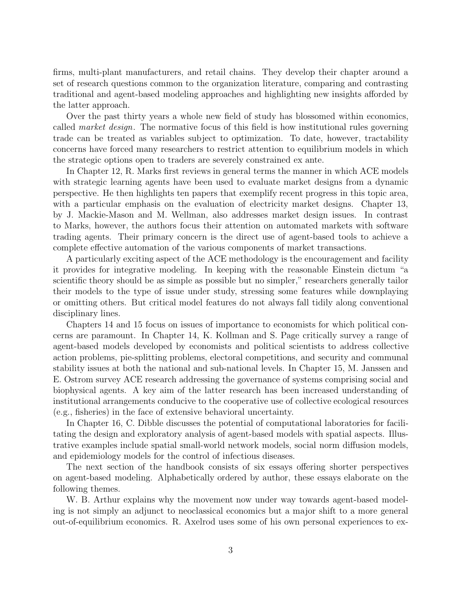firms, multi-plant manufacturers, and retail chains. They develop their chapter around a set of research questions common to the organization literature, comparing and contrasting traditional and agent-based modeling approaches and highlighting new insights afforded by the latter approach.

Over the past thirty years a whole new field of study has blossomed within economics, called *market design*. The normative focus of this field is how institutional rules governing trade can be treated as variables subject to optimization. To date, however, tractability concerns have forced many researchers to restrict attention to equilibrium models in which the strategic options open to traders are severely constrained ex ante.

In Chapter 12, R. Marks first reviews in general terms the manner in which ACE models with strategic learning agents have been used to evaluate market designs from a dynamic perspective. He then highlights ten papers that exemplify recent progress in this topic area, with a particular emphasis on the evaluation of electricity market designs. Chapter 13, by J. Mackie-Mason and M. Wellman, also addresses market design issues. In contrast to Marks, however, the authors focus their attention on automated markets with software trading agents. Their primary concern is the direct use of agent-based tools to achieve a complete effective automation of the various components of market transactions.

A particularly exciting aspect of the ACE methodology is the encouragement and facility it provides for integrative modeling. In keeping with the reasonable Einstein dictum "a scientific theory should be as simple as possible but no simpler," researchers generally tailor their models to the type of issue under study, stressing some features while downplaying or omitting others. But critical model features do not always fall tidily along conventional disciplinary lines.

Chapters 14 and 15 focus on issues of importance to economists for which political concerns are paramount. In Chapter 14, K. Kollman and S. Page critically survey a range of agent-based models developed by economists and political scientists to address collective action problems, pie-splitting problems, electoral competitions, and security and communal stability issues at both the national and sub-national levels. In Chapter 15, M. Janssen and E. Ostrom survey ACE research addressing the governance of systems comprising social and biophysical agents. A key aim of the latter research has been increased understanding of institutional arrangements conducive to the cooperative use of collective ecological resources (e.g., fisheries) in the face of extensive behavioral uncertainty.

In Chapter 16, C. Dibble discusses the potential of computational laboratories for facilitating the design and exploratory analysis of agent-based models with spatial aspects. Illustrative examples include spatial small-world network models, social norm diffusion models, and epidemiology models for the control of infectious diseases.

The next section of the handbook consists of six essays offering shorter perspectives on agent-based modeling. Alphabetically ordered by author, these essays elaborate on the following themes.

W. B. Arthur explains why the movement now under way towards agent-based modeling is not simply an adjunct to neoclassical economics but a major shift to a more general out-of-equilibrium economics. R. Axelrod uses some of his own personal experiences to ex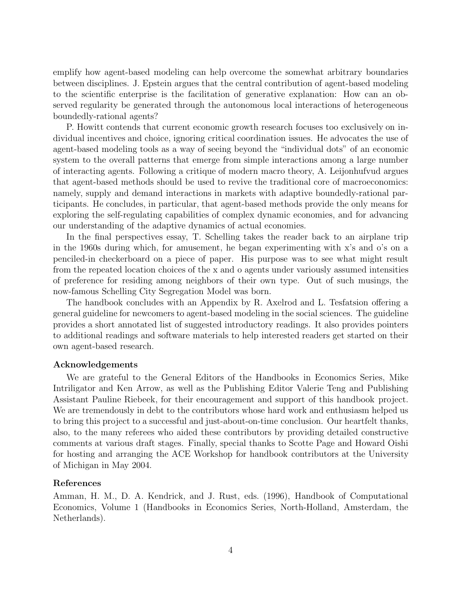emplify how agent-based modeling can help overcome the somewhat arbitrary boundaries between disciplines. J. Epstein argues that the central contribution of agent-based modeling to the scientific enterprise is the facilitation of generative explanation: How can an observed regularity be generated through the autonomous local interactions of heterogeneous boundedly-rational agents?

P. Howitt contends that current economic growth research focuses too exclusively on individual incentives and choice, ignoring critical coordination issues. He advocates the use of agent-based modeling tools as a way of seeing beyond the "individual dots" of an economic system to the overall patterns that emerge from simple interactions among a large number of interacting agents. Following a critique of modern macro theory, A. Leijonhufvud argues that agent-based methods should be used to revive the traditional core of macroeconomics: namely, supply and demand interactions in markets with adaptive boundedly-rational participants. He concludes, in particular, that agent-based methods provide the only means for exploring the self-regulating capabilities of complex dynamic economies, and for advancing our understanding of the adaptive dynamics of actual economies.

In the final perspectives essay, T. Schelling takes the reader back to an airplane trip in the 1960s during which, for amusement, he began experimenting with x's and o's on a penciled-in checkerboard on a piece of paper. His purpose was to see what might result from the repeated location choices of the x and o agents under variously assumed intensities of preference for residing among neighbors of their own type. Out of such musings, the now-famous Schelling City Segregation Model was born.

The handbook concludes with an Appendix by R. Axelrod and L. Tesfatsion offering a general guideline for newcomers to agent-based modeling in the social sciences. The guideline provides a short annotated list of suggested introductory readings. It also provides pointers to additional readings and software materials to help interested readers get started on their own agent-based research.

## **Acknowledgements**

We are grateful to the General Editors of the Handbooks in Economics Series, Mike Intriligator and Ken Arrow, as well as the Publishing Editor Valerie Teng and Publishing Assistant Pauline Riebeek, for their encouragement and support of this handbook project. We are tremendously in debt to the contributors whose hard work and enthusiasm helped us to bring this project to a successful and just-about-on-time conclusion. Our heartfelt thanks, also, to the many referees who aided these contributors by providing detailed constructive comments at various draft stages. Finally, special thanks to Scotte Page and Howard Oishi for hosting and arranging the ACE Workshop for handbook contributors at the University of Michigan in May 2004.

#### **References**

Amman, H. M., D. A. Kendrick, and J. Rust, eds. (1996), Handbook of Computational Economics, Volume 1 (Handbooks in Economics Series, North-Holland, Amsterdam, the Netherlands).